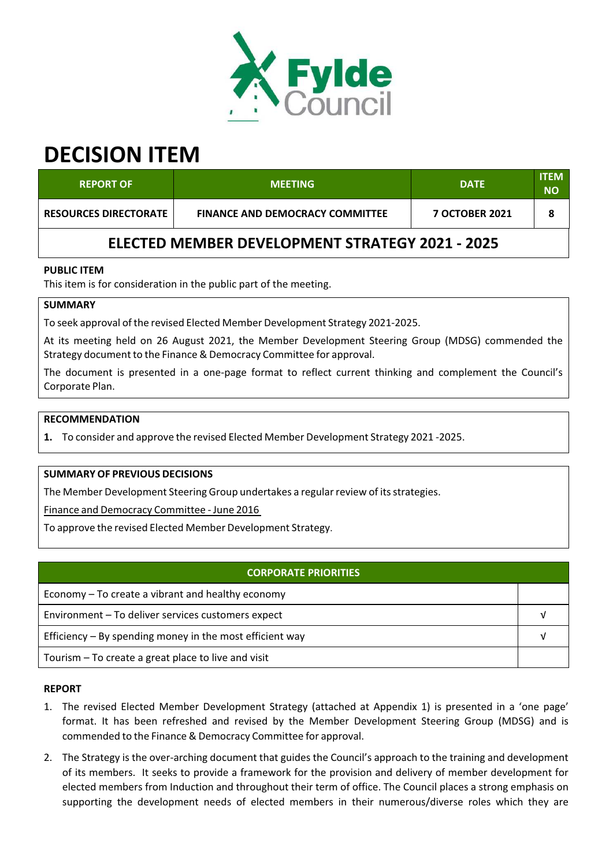

# **DECISION ITEM**

| <b>REPORT OF</b>                                       | <b>MEETING</b>                         | <b>DATE</b>           | <b>ITEM</b><br>NΟ |  |  |  |
|--------------------------------------------------------|----------------------------------------|-----------------------|-------------------|--|--|--|
| <b>RESOURCES DIRECTORATE</b>                           | <b>FINANCE AND DEMOCRACY COMMITTEE</b> | <b>7 OCTOBER 2021</b> |                   |  |  |  |
| <b>ELECTED MEMBER DEVELOPMENT STRATEGY 2021 - 2025</b> |                                        |                       |                   |  |  |  |

## **PUBLIC ITEM**

This item is for consideration in the public part of the meeting.

## **SUMMARY**

To seek approval of the revised Elected Member Development Strategy 2021‐2025.

At its meeting held on 26 August 2021, the Member Development Steering Group (MDSG) commended the Strategy document to the Finance & Democracy Committee for approval.

The document is presented in a one-page format to reflect current thinking and complement the Council's Corporate Plan.

#### **RECOMMENDATION**

**1.** To consider and approve the revised Elected Member Development Strategy 2021 ‐2025.

#### **SUMMARY OF PREVIOUS DECISIONS**

The Member Development Steering Group undertakes a regular review of its strategies.

Finance and Democracy Committee ‐ June 2016

To approve the revised Elected Member Development Strategy.

| <b>CORPORATE PRIORITIES</b>                                |  |  |
|------------------------------------------------------------|--|--|
| Economy – To create a vibrant and healthy economy          |  |  |
| Environment - To deliver services customers expect         |  |  |
| Efficiency $-$ By spending money in the most efficient way |  |  |
| Tourism – To create a great place to live and visit        |  |  |

#### **REPORT**

- 1. The revised Elected Member Development Strategy (attached at Appendix 1) is presented in a 'one page' format. It has been refreshed and revised by the Member Development Steering Group (MDSG) and is commended to the Finance & Democracy Committee for approval.
- 2. The Strategy is the over-arching document that guides the Council's approach to the training and development of its members. It seeks to provide a framework for the provision and delivery of member development for elected members from Induction and throughout their term of office. The Council places a strong emphasis on supporting the development needs of elected members in their numerous/diverse roles which they are